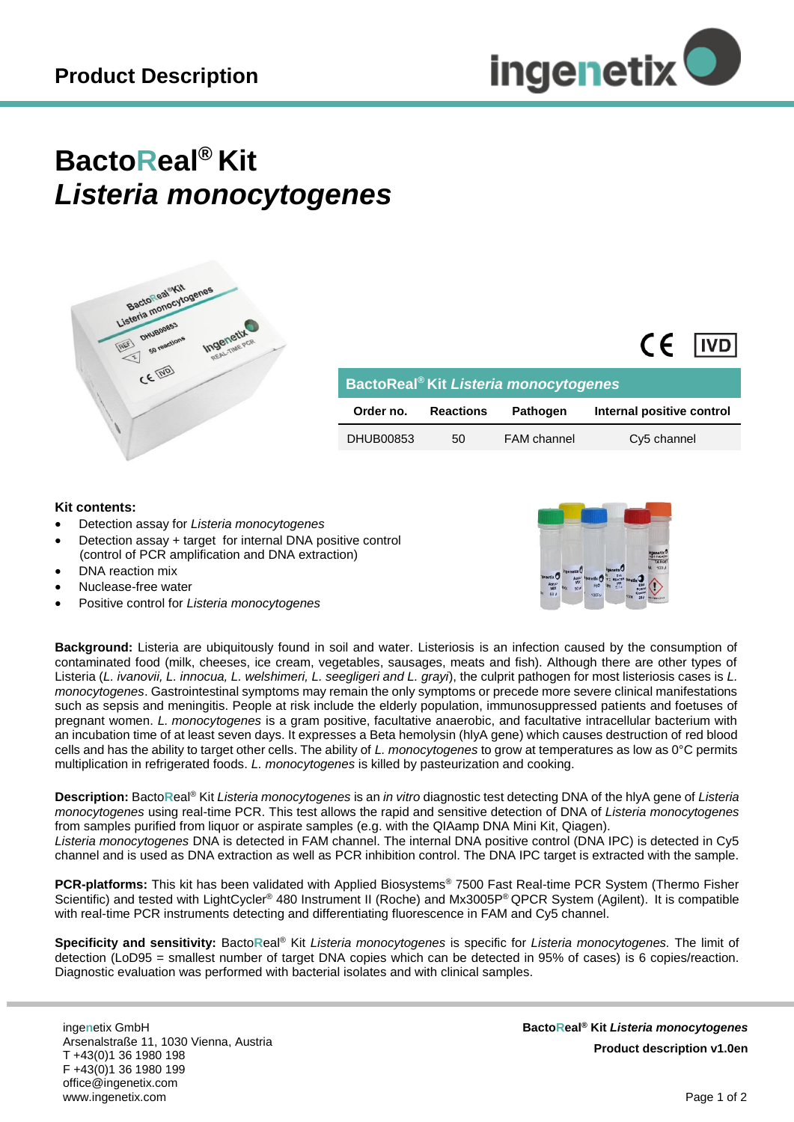

## **BactoReal® Kit** *Listeria monocytogenes*



| BactoReal <sup>®</sup> Kit Listeria monocytogenes |                  |                    |                           |
|---------------------------------------------------|------------------|--------------------|---------------------------|
| Order no.                                         | <b>Reactions</b> | <b>Pathogen</b>    | Internal positive control |
| DHUB00853                                         | 50               | <b>FAM</b> channel | Cy5 channel               |

## **Kit contents:**

- Detection assay for *Listeria monocytogenes*
- Detection assay + target for internal DNA positive control (control of PCR amplification and DNA extraction)
- DNA reaction mix
- Nuclease-free water
- Positive control for *Listeria monocytogenes*



 $CF$   $IVD$ 

**Background:** Listeria are ubiquitously found in soil and water. Listeriosis is an infection caused by the consumption of contaminated food (milk, cheeses, ice cream, vegetables, sausages, meats and fish). Although there are other types of Listeria (*L. ivanovii, L. innocua, L. welshimeri, L. seegligeri and L. grayi*), the culprit pathogen for most listeriosis cases is *L. monocytogenes*. Gastrointestinal symptoms may remain the only symptoms or precede more severe clinical manifestations such as sepsis and meningitis. People at risk include the elderly population, immunosuppressed patients and foetuses of pregnant women. *L. monocytogenes* is a gram positive, facultative anaerobic, and facultative intracellular bacterium with an incubation time of at least seven days. It expresses a Beta hemolysin (hlyA gene) which causes destruction of red blood cells and has the ability to target other cells. The ability of *L. monocytogenes* to grow at temperatures as low as 0°C permits multiplication in refrigerated foods. *L. monocytogenes* is killed by pasteurization and cooking.

**Description:** Bacto**R**eal ® Kit *Listeria monocytogenes* is an *in vitro* diagnostic test detecting DNA of the hlyA gene of *Listeria monocytogenes* using real-time PCR. This test allows the rapid and sensitive detection of DNA of *Listeria monocytogenes* from samples purified from liquor or aspirate samples (e.g. with the QIAamp DNA Mini Kit, Qiagen). *Listeria monocytogenes* DNA is detected in FAM channel. The internal DNA positive control (DNA IPC) is detected in Cy5 channel and is used as DNA extraction as well as PCR inhibition control. The DNA IPC target is extracted with the sample.

**PCR-platforms:** This kit has been validated with Applied Biosystems® 7500 Fast Real-time PCR System (Thermo Fisher Scientific) and tested with LightCycler® 480 Instrument II (Roche) and Mx3005P® QPCR System (Agilent). It is compatible with real-time PCR instruments detecting and differentiating fluorescence in FAM and Cy5 channel.

**Specificity and sensitivity:** Bacto**R**eal® Kit *Listeria monocytogenes* is specific for *Listeria monocytogenes.* The limit of detection (LoD95 = smallest number of target DNA copies which can be detected in 95% of cases) is 6 copies/reaction. Diagnostic evaluation was performed with bacterial isolates and with clinical samples.

inge**n**etix GmbH Arsenalstraße 11, 1030 Vienna, Austria T +43(0)1 36 1980 198 F +43(0)1 36 1980 199 office@ingenetix.com www.ingenetix.com

**BactoReal® Kit** *Listeria monocytogenes* **Product description v1.0en**